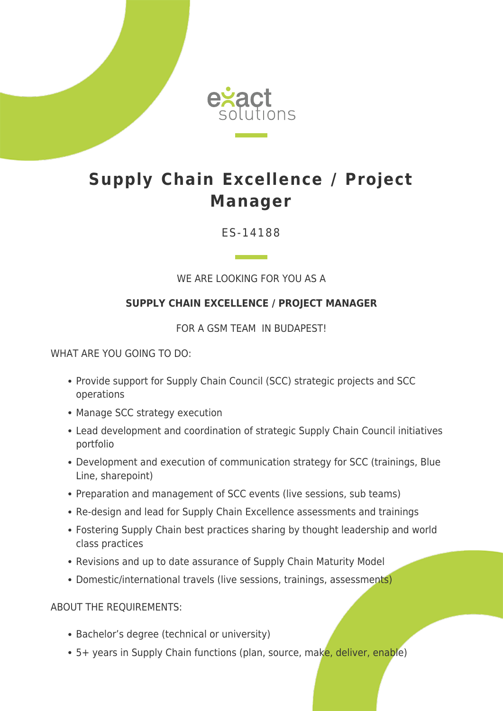

## **Supply Chain Excellence / Project Manager**

ES-14188

WE ARE LOOKING FOR YOU AS A

## **SUPPLY CHAIN EXCELLENCE / PROJECT MANAGER**

FOR A GSM TEAM IN BUDAPEST!

WHAT ARE YOU GOING TO DO:

- Provide support for Supply Chain Council (SCC) strategic projects and SCC operations
- Manage SCC strategy execution
- Lead development and coordination of strategic Supply Chain Council initiatives portfolio
- Development and execution of communication strategy for SCC (trainings, Blue Line, sharepoint)
- Preparation and management of SCC events (live sessions, sub teams)
- Re-design and lead for Supply Chain Excellence assessments and trainings
- Fostering Supply Chain best practices sharing by thought leadership and world class practices
- Revisions and up to date assurance of Supply Chain Maturity Model
- Domestic/international travels (live sessions, trainings, assessments)

ABOUT THE REQUIREMENTS:

- Bachelor's degree (technical or university)
- 5+ years in Supply Chain functions (plan, source, make, deliver, enable)